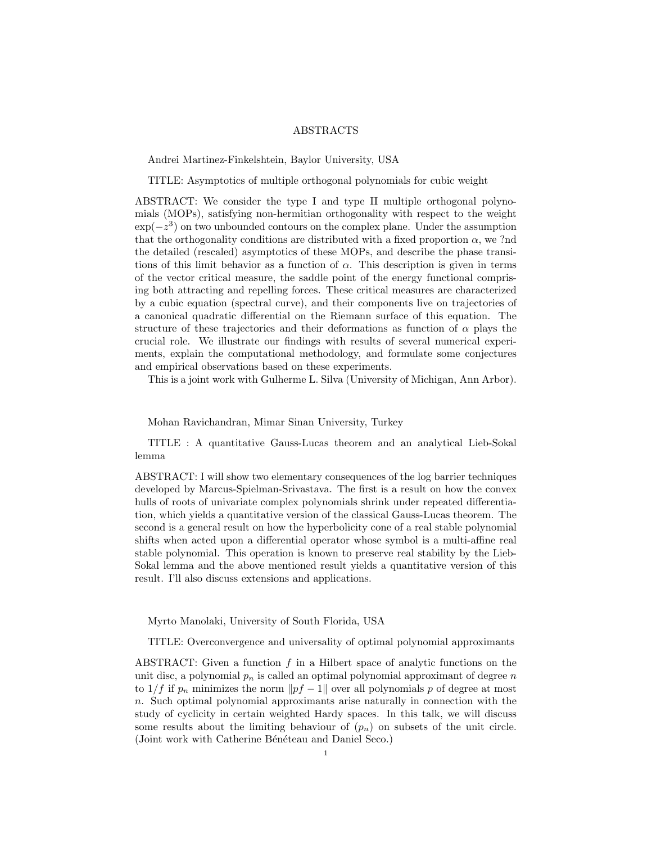## ABSTRACTS

Andrei Martinez-Finkelshtein, Baylor University, USA

TITLE: Asymptotics of multiple orthogonal polynomials for cubic weight

ABSTRACT: We consider the type I and type II multiple orthogonal polynomials (MOPs), satisfying non-hermitian orthogonality with respect to the weight  $\exp(-z^3)$  on two unbounded contours on the complex plane. Under the assumption that the orthogonality conditions are distributed with a fixed proportion  $\alpha$ , we ?nd the detailed (rescaled) asymptotics of these MOPs, and describe the phase transitions of this limit behavior as a function of  $\alpha$ . This description is given in terms of the vector critical measure, the saddle point of the energy functional comprising both attracting and repelling forces. These critical measures are characterized by a cubic equation (spectral curve), and their components live on trajectories of a canonical quadratic differential on the Riemann surface of this equation. The structure of these trajectories and their deformations as function of  $\alpha$  plays the crucial role. We illustrate our findings with results of several numerical experiments, explain the computational methodology, and formulate some conjectures and empirical observations based on these experiments.

This is a joint work with Gulherme L. Silva (University of Michigan, Ann Arbor).

Mohan Ravichandran, Mimar Sinan University, Turkey

TITLE : A quantitative Gauss-Lucas theorem and an analytical Lieb-Sokal lemma

ABSTRACT: I will show two elementary consequences of the log barrier techniques developed by Marcus-Spielman-Srivastava. The first is a result on how the convex hulls of roots of univariate complex polynomials shrink under repeated differentiation, which yields a quantitative version of the classical Gauss-Lucas theorem. The second is a general result on how the hyperbolicity cone of a real stable polynomial shifts when acted upon a differential operator whose symbol is a multi-affine real stable polynomial. This operation is known to preserve real stability by the Lieb-Sokal lemma and the above mentioned result yields a quantitative version of this result. I'll also discuss extensions and applications.

Myrto Manolaki, University of South Florida, USA

TITLE: Overconvergence and universality of optimal polynomial approximants

ABSTRACT: Given a function  $f$  in a Hilbert space of analytic functions on the unit disc, a polynomial  $p_n$  is called an optimal polynomial approximant of degree n to  $1/f$  if  $p_n$  minimizes the norm  $||pf - 1||$  over all polynomials p of degree at most n. Such optimal polynomial approximants arise naturally in connection with the study of cyclicity in certain weighted Hardy spaces. In this talk, we will discuss some results about the limiting behaviour of  $(p_n)$  on subsets of the unit circle. (Joint work with Catherine Bénéteau and Daniel Seco.)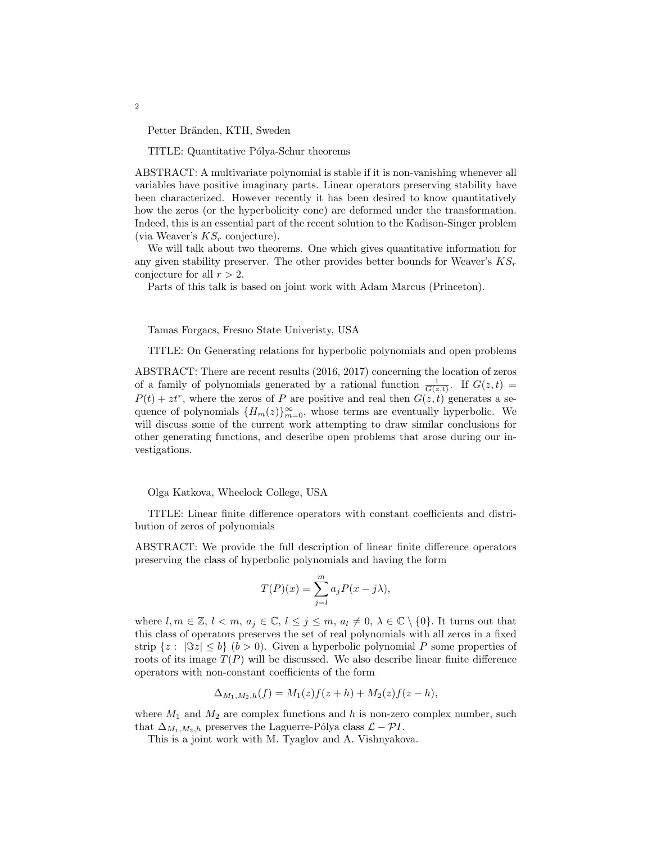Petter Bränden, KTH, Sweden

TITLE: Quantitative Pólya-Schur theorems

ABSTRACT: A multivariate polynomial is stable if it is non-vanishing whenever all variables have positive imaginary parts. Linear operators preserving stability have been characterized. However recently it has been desired to know quantitatively how the zeros (or the hyperbolicity cone) are deformed under the transformation. Indeed, this is an essential part of the recent solution to the Kadison-Singer problem (via Weaver's  $KS_r$  conjecture).

We will talk about two theorems. One which gives quantitative information for any given stability preserver. The other provides better bounds for Weaver's  $KS_r$ conjecture for all  $r > 2$ .

Parts of this talk is based on joint work with Adam Marcus (Princeton).

Tamas Forgacs, Fresno State Univeristy, USA

TITLE: On Generating relations for hyperbolic polynomials and open problems

ABSTRACT: There are recent results (2016, 2017) concerning the location of zeros of a family of polynomials generated by a rational function  $\frac{1}{G(z,t)}$ . If  $G(z,t)$  $P(t) + zt^r$ , where the zeros of P are positive and real then  $G(z, t)$  generates a sequence of polynomials  ${H_m(z)}_{m=0}^{\infty}$ , whose terms are eventually hyperbolic. We will discuss some of the current work attempting to draw similar conclusions for other generating functions, and describe open problems that arose during our investigations.

Olga Katkova, Wheelock College, USA

TITLE: Linear finite difference operators with constant coefficients and distribution of zeros of polynomials

ABSTRACT: We provide the full description of linear finite difference operators preserving the class of hyperbolic polynomials and having the form

$$
T(P)(x) = \sum_{j=l}^{m} a_j P(x - j\lambda),
$$

where  $l, m \in \mathbb{Z}, l < m, a_j \in \mathbb{C}, l \leq j \leq m, a_l \neq 0, \lambda \in \mathbb{C} \setminus \{0\}.$  It turns out that this class of operators preserves the set of real polynomials with all zeros in a fixed strip  $\{z: |\Im z| \leq b\}$   $(b > 0)$ . Given a hyperbolic polynomial P some properties of roots of its image  $T(P)$  will be discussed. We also describe linear finite difference operators with non-constant coefficients of the form

$$
\Delta_{M_1,M_2,h}(f) = M_1(z)f(z+h) + M_2(z)f(z-h),
$$

where  $M_1$  and  $M_2$  are complex functions and h is non-zero complex number, such that  $\Delta_{M_1,M_2,h}$  preserves the Laguerre-Pólya class  $\mathcal{L} - \mathcal{P}I$ .

This is a joint work with M. Tyaglov and A. Vishnyakova.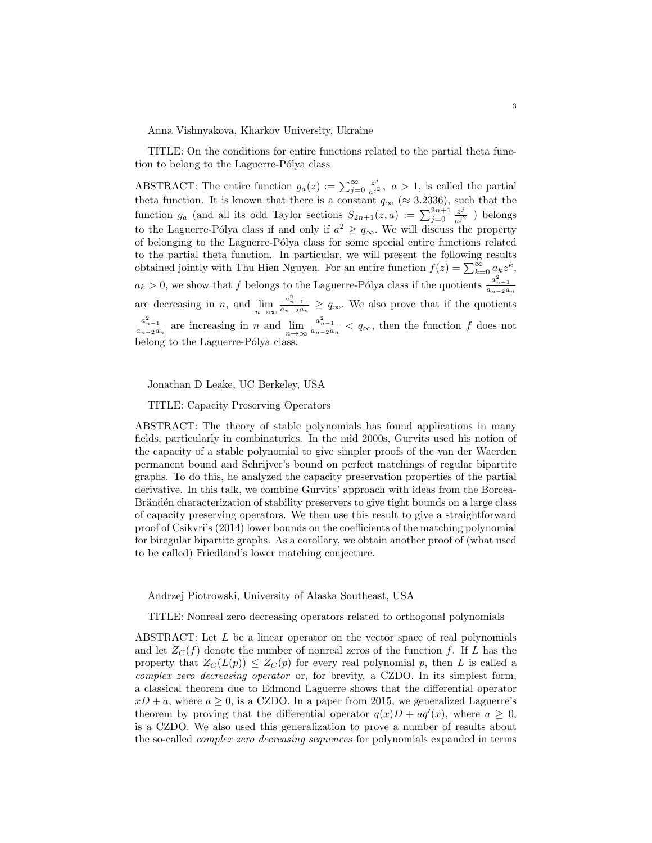Anna Vishnyakova, Kharkov University, Ukraine

TITLE: On the conditions for entire functions related to the partial theta function to belong to the Laguerre-Pólya class

ABSTRACT: The entire function  $g_a(z) := \sum_{j=0}^{\infty} \frac{z^j}{a^{j^2}}$ ,  $a > 1$ , is called the partial theta function. It is known that there is a constant  $q_{\infty}$  (≈ 3.2336), such that the function  $g_a$  (and all its odd Taylor sections  $S_{2n+1}(z, a) := \sum_{j=0}^{2n+1} \frac{z^j}{a^{j^2}}$ ) belongs to the Laguerre-Pólya class if and only if  $a^2 \geq q_{\infty}$ . We will discuss the property of belonging to the Laguerre-Pólya class for some special entire functions related to the partial theta function. In particular, we will present the following results obtained jointly with Thu Hien Nguyen. For an entire function  $f(z) = \sum_{k=0}^{\infty} a_k z^k$ ,  $a_k > 0$ , we show that f belongs to the Laguerre-Pólya class if the quotients  $\frac{a_{n-1}^2}{a_{n-2}a_n}$ are decreasing in n, and  $\lim_{n\to\infty} \frac{a_{n-1}^2}{a_{n-2}a_n} \ge q_\infty$ . We also prove that if the quotients  $\frac{a_{n-1}^2}{a_{n-2}a_n}$  are increasing in n and  $\lim_{n\to\infty}\frac{a_{n-1}^2}{a_{n-2}a_n} < q_\infty$ , then the function f does not belong to the Laguerre-Pólya class.

Jonathan D Leake, UC Berkeley, USA

TITLE: Capacity Preserving Operators

ABSTRACT: The theory of stable polynomials has found applications in many fields, particularly in combinatorics. In the mid 2000s, Gurvits used his notion of the capacity of a stable polynomial to give simpler proofs of the van der Waerden permanent bound and Schrijver's bound on perfect matchings of regular bipartite graphs. To do this, he analyzed the capacity preservation properties of the partial derivative. In this talk, we combine Gurvits' approach with ideas from the Borcea-Brändén characterization of stability preservers to give tight bounds on a large class of capacity preserving operators. We then use this result to give a straightforward proof of Csikvri's (2014) lower bounds on the coefficients of the matching polynomial for biregular bipartite graphs. As a corollary, we obtain another proof of (what used to be called) Friedland's lower matching conjecture.

Andrzej Piotrowski, University of Alaska Southeast, USA

TITLE: Nonreal zero decreasing operators related to orthogonal polynomials

ABSTRACT: Let L be a linear operator on the vector space of real polynomials and let  $Z_C(f)$  denote the number of nonreal zeros of the function f. If L has the property that  $Z_C(L(p)) \leq Z_C(p)$  for every real polynomial p, then L is called a complex zero decreasing operator or, for brevity, a CZDO. In its simplest form, a classical theorem due to Edmond Laguerre shows that the differential operator  $xD + a$ , where  $a \ge 0$ , is a CZDO. In a paper from 2015, we generalized Laguerre's theorem by proving that the differential operator  $q(x)D + aq'(x)$ , where  $a \geq 0$ , is a CZDO. We also used this generalization to prove a number of results about the so-called complex zero decreasing sequences for polynomials expanded in terms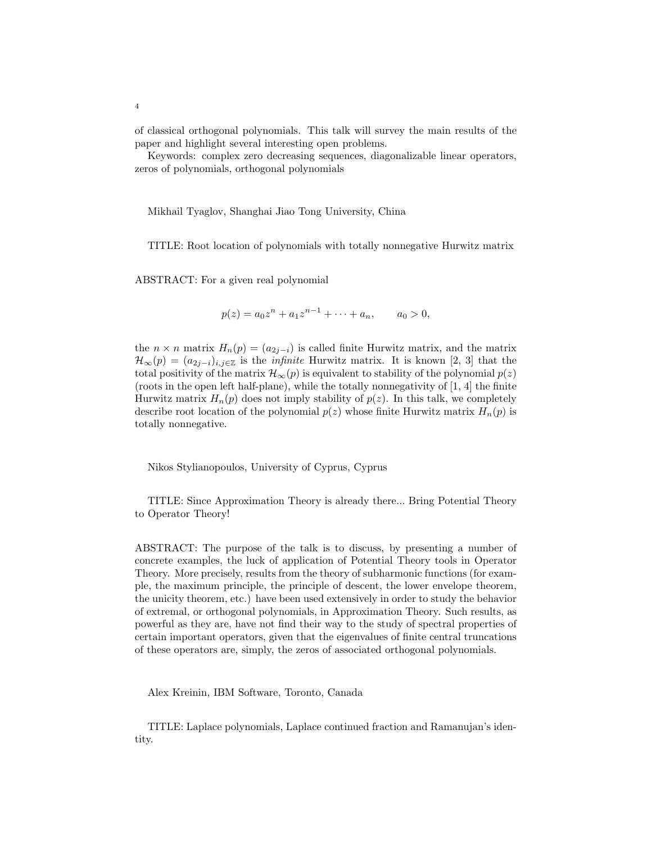of classical orthogonal polynomials. This talk will survey the main results of the paper and highlight several interesting open problems.

Keywords: complex zero decreasing sequences, diagonalizable linear operators, zeros of polynomials, orthogonal polynomials

Mikhail Tyaglov, Shanghai Jiao Tong University, China

TITLE: Root location of polynomials with totally nonnegative Hurwitz matrix

ABSTRACT: For a given real polynomial

$$
p(z) = a_0 z^n + a_1 z^{n-1} + \dots + a_n, \qquad a_0 > 0,
$$

the  $n \times n$  matrix  $H_n(p) = (a_{2j-i})$  is called finite Hurwitz matrix, and the matrix  $\mathcal{H}_{\infty}(p) = (a_{2j-i})_{i,j \in \mathbb{Z}}$  is the *infinite* Hurwitz matrix. It is known [2, 3] that the total positivity of the matrix  $\mathcal{H}_{\infty}(p)$  is equivalent to stability of the polynomial  $p(z)$ (roots in the open left half-plane), while the totally nonnegativity of [1, 4] the finite Hurwitz matrix  $H_n(p)$  does not imply stability of  $p(z)$ . In this talk, we completely describe root location of the polynomial  $p(z)$  whose finite Hurwitz matrix  $H_n(p)$  is totally nonnegative.

Nikos Stylianopoulos, University of Cyprus, Cyprus

TITLE: Since Approximation Theory is already there... Bring Potential Theory to Operator Theory!

ABSTRACT: The purpose of the talk is to discuss, by presenting a number of concrete examples, the luck of application of Potential Theory tools in Operator Theory. More precisely, results from the theory of subharmonic functions (for example, the maximum principle, the principle of descent, the lower envelope theorem, the unicity theorem, etc.) have been used extensively in order to study the behavior of extremal, or orthogonal polynomials, in Approximation Theory. Such results, as powerful as they are, have not find their way to the study of spectral properties of certain important operators, given that the eigenvalues of finite central truncations of these operators are, simply, the zeros of associated orthogonal polynomials.

Alex Kreinin, IBM Software, Toronto, Canada

TITLE: Laplace polynomials, Laplace continued fraction and Ramanujan's identity.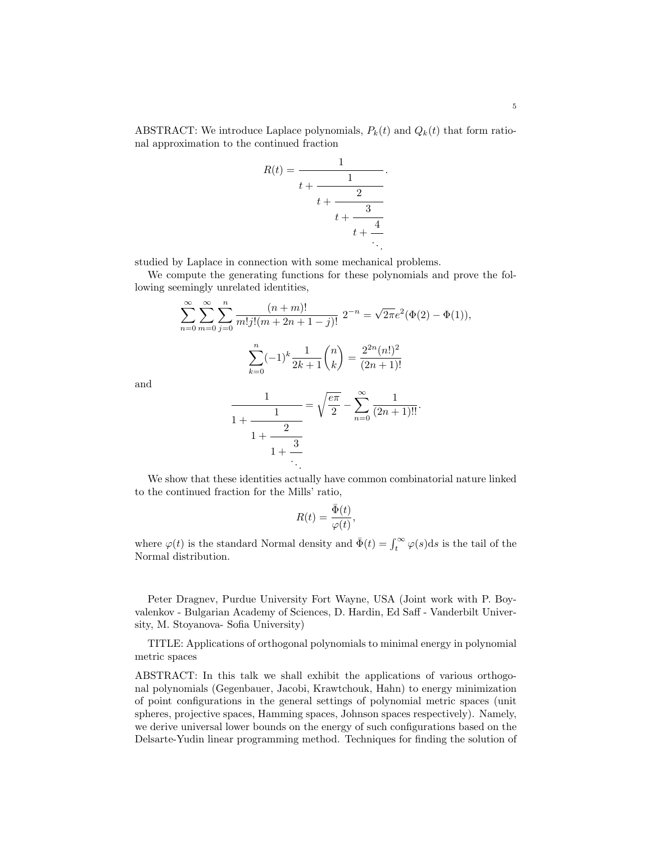ABSTRACT: We introduce Laplace polynomials,  $P_k(t)$  and  $Q_k(t)$  that form rational approximation to the continued fraction

$$
R(t) = \cfrac{1}{t + \cfrac{1}{t + \cfrac{2}{t + \cfrac{3}{t + \cfrac{4}{\ddots}}}}}
$$

studied by Laplace in connection with some mechanical problems.

We compute the generating functions for these polynomials and prove the following seemingly unrelated identities,

$$
\sum_{n=0}^{\infty} \sum_{m=0}^{\infty} \sum_{j=0}^{n} \frac{(n+m)!}{m!j!(m+2n+1-j)!} 2^{-n} = \sqrt{2\pi}e^2(\Phi(2) - \Phi(1)),
$$

$$
\sum_{k=0}^{n} (-1)^k \frac{1}{2k+1} {n \choose k} = \frac{2^{2n} (n!)^2}{(2n+1)!}
$$

and

$$
\frac{1}{1 + \frac{1}{1 + \frac{2}{1 + \frac{3}{\ddots}}}} = \sqrt{\frac{e\pi}{2}} - \sum_{n=0}^{\infty} \frac{1}{(2n+1)!!}.
$$

We show that these identities actually have common combinatorial nature linked to the continued fraction for the Mills' ratio,

$$
R(t) = \frac{\bar{\Phi}(t)}{\varphi(t)},
$$

where  $\varphi(t)$  is the standard Normal density and  $\bar{\Phi}(t) = \int_t^{\infty} \varphi(s) ds$  is the tail of the Normal distribution.

Peter Dragnev, Purdue University Fort Wayne, USA (Joint work with P. Boyvalenkov - Bulgarian Academy of Sciences, D. Hardin, Ed Saff - Vanderbilt University, M. Stoyanova- Sofia University)

TITLE: Applications of orthogonal polynomials to minimal energy in polynomial metric spaces

ABSTRACT: In this talk we shall exhibit the applications of various orthogonal polynomials (Gegenbauer, Jacobi, Krawtchouk, Hahn) to energy minimization of point configurations in the general settings of polynomial metric spaces (unit spheres, projective spaces, Hamming spaces, Johnson spaces respectively). Namely, we derive universal lower bounds on the energy of such configurations based on the Delsarte-Yudin linear programming method. Techniques for finding the solution of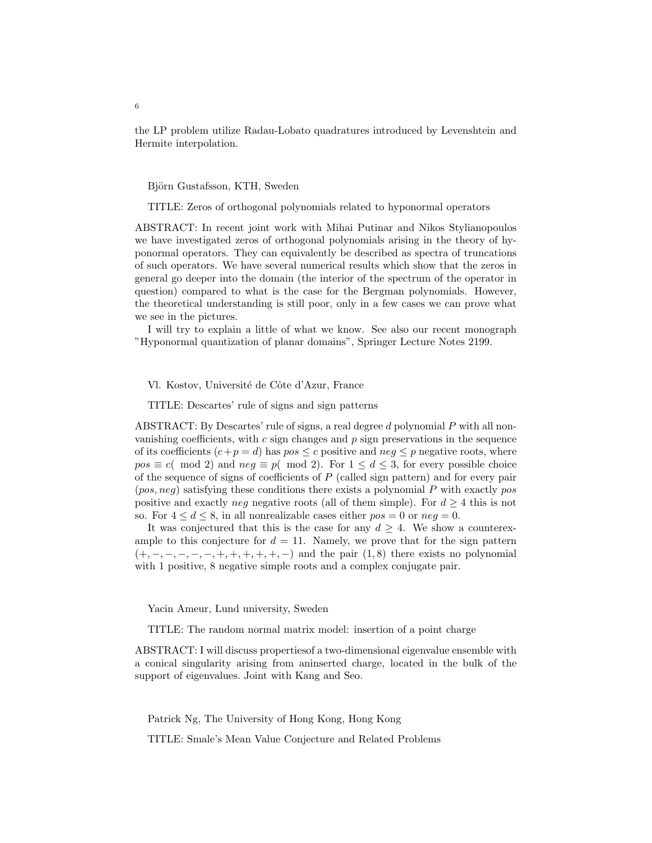the LP problem utilize Radau-Lobato quadratures introduced by Levenshtein and Hermite interpolation.

Björn Gustafsson, KTH, Sweden

TITLE: Zeros of orthogonal polynomials related to hyponormal operators

ABSTRACT: In recent joint work with Mihai Putinar and Nikos Stylianopoulos we have investigated zeros of orthogonal polynomials arising in the theory of hyponormal operators. They can equivalently be described as spectra of truncations of such operators. We have several numerical results which show that the zeros in general go deeper into the domain (the interior of the spectrum of the operator in question) compared to what is the case for the Bergman polynomials. However, the theoretical understanding is still poor, only in a few cases we can prove what we see in the pictures.

I will try to explain a little of what we know. See also our recent monograph "Hyponormal quantization of planar domains", Springer Lecture Notes 2199.

Vl. Kostov, Université de Côte d'Azur, France

TITLE: Descartes' rule of signs and sign patterns

ABSTRACT: By Descartes' rule of signs, a real degree d polynomial P with all nonvanishing coefficients, with  $c$  sign changes and  $p$  sign preservations in the sequence of its coefficients  $(c+p = d)$  has  $pos \leq c$  positive and  $neg \leq p$  negative roots, where  $pos \equiv c \pmod{2}$  and  $neg \equiv p \pmod{2}$ . For  $1 \leq d \leq 3$ , for every possible choice of the sequence of signs of coefficients of  $P$  (called sign pattern) and for every pair  $(pos, neg)$  satisfying these conditions there exists a polynomial P with exactly pos positive and exactly neg negative roots (all of them simple). For  $d \geq 4$  this is not so. For  $4 \leq d \leq 8$ , in all nonrealizable cases either  $pos = 0$  or  $neg = 0$ .

It was conjectured that this is the case for any  $d > 4$ . We show a counterexample to this conjecture for  $d = 11$ . Namely, we prove that for the sign pattern  $(+, -, -, -, -, +, +, +, +, -)$  and the pair  $(1, 8)$  there exists no polynomial with 1 positive, 8 negative simple roots and a complex conjugate pair.

Yacin Ameur, Lund university, Sweden

TITLE: The random normal matrix model: insertion of a point charge

ABSTRACT: I will discuss propertiesof a two-dimensional eigenvalue ensemble with a conical singularity arising from aninserted charge, located in the bulk of the support of eigenvalues. Joint with Kang and Seo.

Patrick Ng, The University of Hong Kong, Hong Kong

TITLE: Smale's Mean Value Conjecture and Related Problems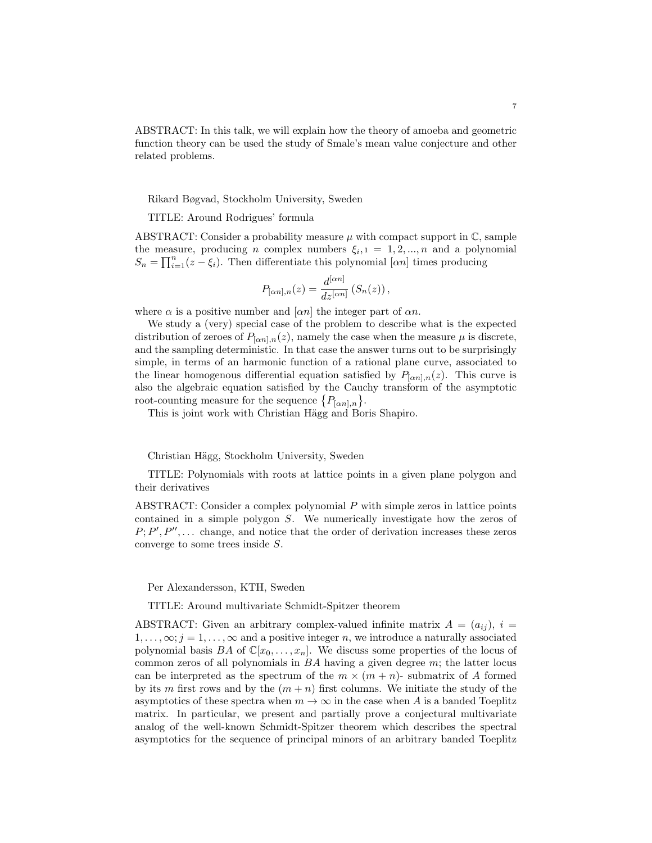ABSTRACT: In this talk, we will explain how the theory of amoeba and geometric function theory can be used the study of Smale's mean value conjecture and other related problems.

Rikard Bøgvad, Stockholm University, Sweden

TITLE: Around Rodrigues' formula

ABSTRACT: Consider a probability measure  $\mu$  with compact support in  $\mathbb{C}$ , sample the measure, producing *n* complex numbers  $\xi_{i,1} = 1, 2, ..., n$  and a polynomial  $S_n = \prod_{i=1}^n (z - \xi_i)$ . Then differentiate this polynomial  $[\alpha n]$  times producing

$$
P_{[\alpha n],n}(z) = \frac{d^{[\alpha n]}}{dz^{[\alpha n]}} (S_n(z)),
$$

where  $\alpha$  is a positive number and  $[\alpha n]$  the integer part of  $\alpha n$ .

We study a (very) special case of the problem to describe what is the expected distribution of zeroes of  $P_{[\alpha n],n}(z)$ , namely the case when the measure  $\mu$  is discrete, and the sampling deterministic. In that case the answer turns out to be surprisingly simple, in terms of an harmonic function of a rational plane curve, associated to the linear homogenous differential equation satisfied by  $P_{[\alpha n],n}(z)$ . This curve is also the algebraic equation satisfied by the Cauchy transform of the asymptotic root-counting measure for the sequence  $\{P_{[\alpha n],n}\}.$ 

This is joint work with Christian Hägg and Boris Shapiro.

Christian Hägg, Stockholm University, Sweden

TITLE: Polynomials with roots at lattice points in a given plane polygon and their derivatives

ABSTRACT: Consider a complex polynomial P with simple zeros in lattice points contained in a simple polygon S. We numerically investigate how the zeros of  $P; P', P'', \ldots$  change, and notice that the order of derivation increases these zeros converge to some trees inside S.

Per Alexandersson, KTH, Sweden

TITLE: Around multivariate Schmidt-Spitzer theorem

ABSTRACT: Given an arbitrary complex-valued infinite matrix  $A = (a_{ij})$ ,  $i =$  $1, \ldots, \infty; j = 1, \ldots, \infty$  and a positive integer n, we introduce a naturally associated polynomial basis BA of  $\mathbb{C}[x_0, \ldots, x_n]$ . We discuss some properties of the locus of common zeros of all polynomials in  $BA$  having a given degree  $m$ ; the latter locus can be interpreted as the spectrum of the  $m \times (m + n)$ - submatrix of A formed by its m first rows and by the  $(m+n)$  first columns. We initiate the study of the asymptotics of these spectra when  $m \to \infty$  in the case when A is a banded Toeplitz matrix. In particular, we present and partially prove a conjectural multivariate analog of the well-known Schmidt-Spitzer theorem which describes the spectral asymptotics for the sequence of principal minors of an arbitrary banded Toeplitz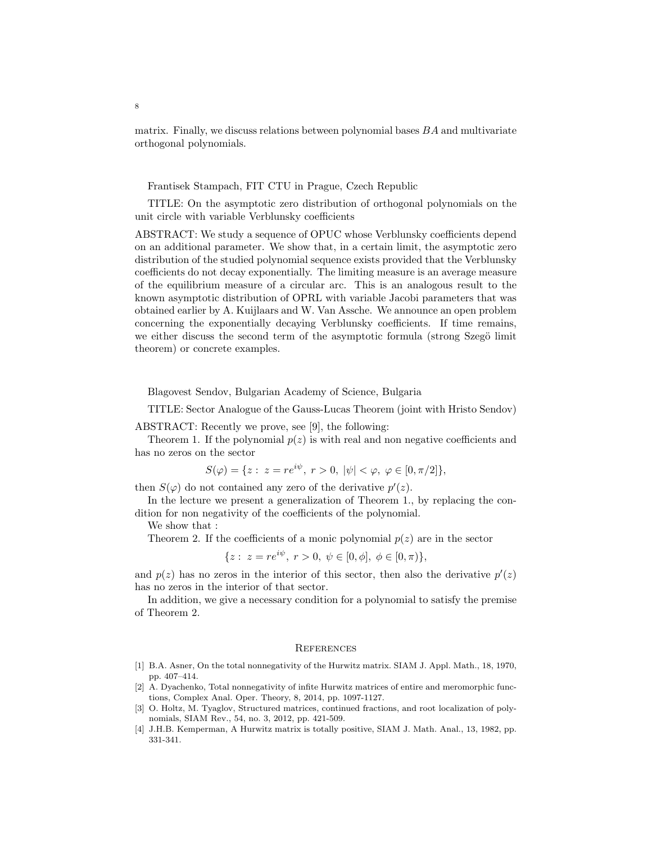matrix. Finally, we discuss relations between polynomial bases  $BA$  and multivariate orthogonal polynomials.

Frantisek Stampach, FIT CTU in Prague, Czech Republic

TITLE: On the asymptotic zero distribution of orthogonal polynomials on the unit circle with variable Verblunsky coefficients

ABSTRACT: We study a sequence of OPUC whose Verblunsky coefficients depend on an additional parameter. We show that, in a certain limit, the asymptotic zero distribution of the studied polynomial sequence exists provided that the Verblunsky coefficients do not decay exponentially. The limiting measure is an average measure of the equilibrium measure of a circular arc. This is an analogous result to the known asymptotic distribution of OPRL with variable Jacobi parameters that was obtained earlier by A. Kuijlaars and W. Van Assche. We announce an open problem concerning the exponentially decaying Verblunsky coefficients. If time remains, we either discuss the second term of the asymptotic formula (strong Szegö limit theorem) or concrete examples.

Blagovest Sendov, Bulgarian Academy of Science, Bulgaria

TITLE: Sector Analogue of the Gauss-Lucas Theorem (joint with Hristo Sendov)

ABSTRACT: Recently we prove, see [9], the following:

Theorem 1. If the polynomial  $p(z)$  is with real and non negative coefficients and has no zeros on the sector

$$
S(\varphi) = \{ z : z = re^{i\psi}, r > 0, |\psi| < \varphi, \varphi \in [0, \pi/2] \},
$$

then  $S(\varphi)$  do not contained any zero of the derivative  $p'(z)$ .

In the lecture we present a generalization of Theorem 1., by replacing the condition for non negativity of the coefficients of the polynomial.

We show that :

Theorem 2. If the coefficients of a monic polynomial  $p(z)$  are in the sector

$$
\{z: z = re^{i\psi}, r > 0, \psi \in [0, \phi], \phi \in [0, \pi)\},\
$$

and  $p(z)$  has no zeros in the interior of this sector, then also the derivative  $p'(z)$ has no zeros in the interior of that sector.

In addition, we give a necessary condition for a polynomial to satisfy the premise of Theorem 2.

## **REFERENCES**

- [1] B.A. Asner, On the total nonnegativity of the Hurwitz matrix. SIAM J. Appl. Math., 18, 1970, pp. 407–414.
- [2] A. Dyachenko, Total nonnegativity of infite Hurwitz matrices of entire and meromorphic functions, Complex Anal. Oper. Theory, 8, 2014, pp. 1097-1127.
- [3] O. Holtz, M. Tyaglov, Structured matrices, continued fractions, and root localization of polynomials, SIAM Rev., 54, no. 3, 2012, pp. 421-509.
- [4] J.H.B. Kemperman, A Hurwitz matrix is totally positive, SIAM J. Math. Anal., 13, 1982, pp. 331-341.